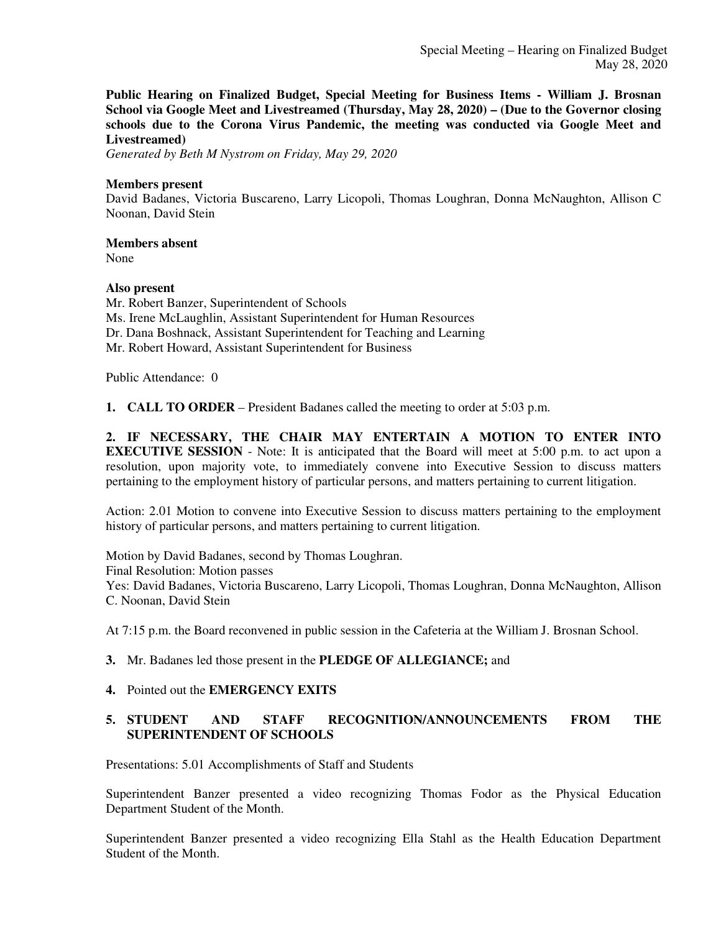**Public Hearing on Finalized Budget, Special Meeting for Business Items - William J. Brosnan School via Google Meet and Livestreamed (Thursday, May 28, 2020) – (Due to the Governor closing schools due to the Corona Virus Pandemic, the meeting was conducted via Google Meet and Livestreamed)**

*Generated by Beth M Nystrom on Friday, May 29, 2020*

#### **Members present**

David Badanes, Victoria Buscareno, Larry Licopoli, Thomas Loughran, Donna McNaughton, Allison C Noonan, David Stein

#### **Members absent**

None

#### **Also present**

Mr. Robert Banzer, Superintendent of Schools Ms. Irene McLaughlin, Assistant Superintendent for Human Resources Dr. Dana Boshnack, Assistant Superintendent for Teaching and Learning Mr. Robert Howard, Assistant Superintendent for Business

Public Attendance: 0

**1. CALL TO ORDER** – President Badanes called the meeting to order at 5:03 p.m.

**2. IF NECESSARY, THE CHAIR MAY ENTERTAIN A MOTION TO ENTER INTO EXECUTIVE SESSION** - Note: It is anticipated that the Board will meet at 5:00 p.m. to act upon a resolution, upon majority vote, to immediately convene into Executive Session to discuss matters pertaining to the employment history of particular persons, and matters pertaining to current litigation.

Action: 2.01 Motion to convene into Executive Session to discuss matters pertaining to the employment history of particular persons, and matters pertaining to current litigation.

Motion by David Badanes, second by Thomas Loughran. Final Resolution: Motion passes Yes: David Badanes, Victoria Buscareno, Larry Licopoli, Thomas Loughran, Donna McNaughton, Allison C. Noonan, David Stein

At 7:15 p.m. the Board reconvened in public session in the Cafeteria at the William J. Brosnan School.

**3.** Mr. Badanes led those present in the **PLEDGE OF ALLEGIANCE;** and

#### **4.** Pointed out the **EMERGENCY EXITS**

#### **5. STUDENT AND STAFF RECOGNITION/ANNOUNCEMENTS FROM THE SUPERINTENDENT OF SCHOOLS**

Presentations: 5.01 Accomplishments of Staff and Students

Superintendent Banzer presented a video recognizing Thomas Fodor as the Physical Education Department Student of the Month.

Superintendent Banzer presented a video recognizing Ella Stahl as the Health Education Department Student of the Month.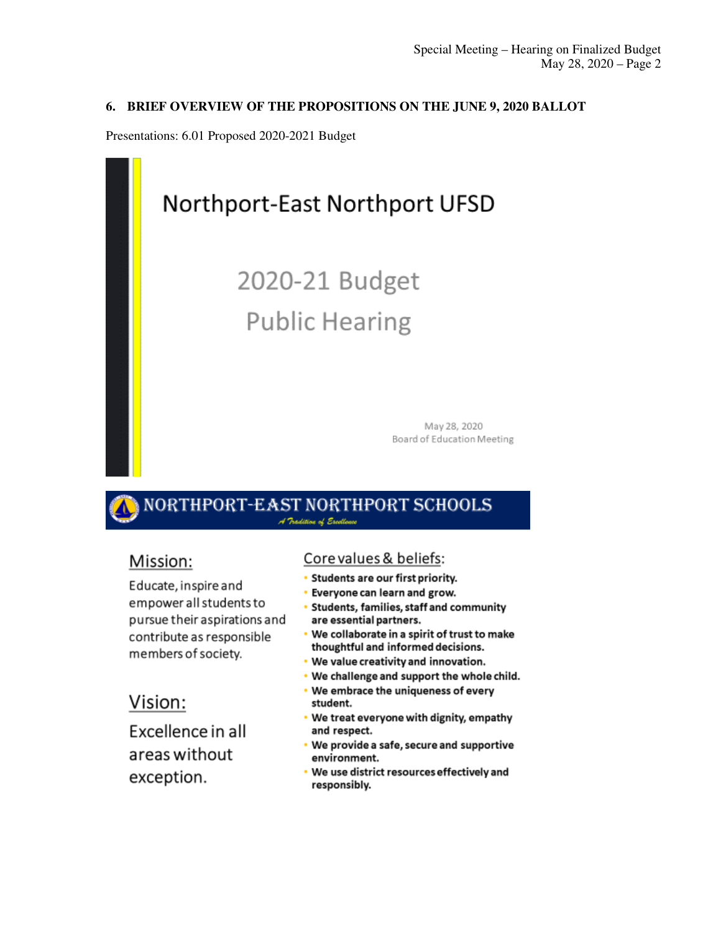### 6. BRIEF OVERVIEW OF THE PROPOSITIONS ON THE JUNE 9, 2020 BALLOT

Presentations: 6.01 Proposed 2020-2021 Budget



### PORT-EAST NORTHPORT SCHOOLS A Pradition of Escotlena

## Mission:

Educate, inspire and empower all students to pursue their aspirations and contribute as responsible members of society.

## Vision:

Excellence in all areas without exception.

### Core values & beliefs:

- Students are our first priority.
- Everyone can learn and grow.
- Students, families, staff and community are essential partners.
- . We collaborate in a spirit of trust to make thoughtful and informed decisions.
- . We value creativity and innovation.
- We challenge and support the whole child.
- We embrace the uniqueness of every × student.
- . We treat everyone with dignity, empathy and respect.
- We provide a safe, secure and supportive environment.
- We use district resources effectively and responsibly.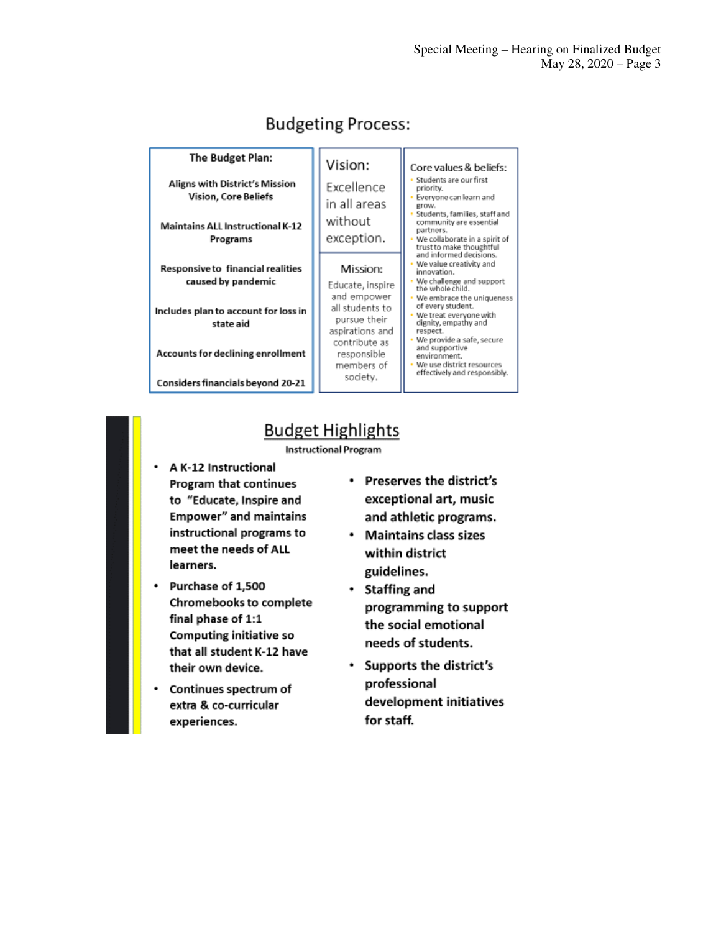| The Budget Plan:                                                                                              | Vision:                                                                       | Core values & beliefs:                                                                                                                                                                                       |  |  |
|---------------------------------------------------------------------------------------------------------------|-------------------------------------------------------------------------------|--------------------------------------------------------------------------------------------------------------------------------------------------------------------------------------------------------------|--|--|
| Aligns with District's Mission<br>Vision, Core Beliefs<br><b>Maintains ALL Instructional K-12</b><br>Programs | Excellence<br>in all areas<br>without<br>exception.                           | Students are our first<br>priority.<br>Everyone can learn and<br>grow.<br>Students, families, staff and<br>community are essential<br>partners.<br>We collaborate in a spirit of<br>trust to make thoughtful |  |  |
| <b>Responsive to financial realities</b><br>caused by pandemic<br>Includes plan to account for loss in        | Mission:<br>Educate, inspire<br>and empower<br>all students to                | and informed decisions.<br>We value creativity and<br>innovation.<br>We challenge and support<br>the whole child.<br>We embrace the uniqueness<br>of every student.                                          |  |  |
| state aid<br><b>Accounts for declining enrollment</b>                                                         | pursue their<br>aspirations and<br>contribute as<br>responsible<br>members of | We treat everyone with<br>dignity, empathy and<br>respect.<br>We provide a safe, secure<br>and supportive<br>environment<br>We use district resources<br>effectively and responsibly.                        |  |  |
| <b>Considers financials beyond 20-21</b>                                                                      | society.                                                                      |                                                                                                                                                                                                              |  |  |

## **Budgeting Process:**

## **Budget Highlights**

#### **Instructional Program**

- A K-12 Instructional Program that continues to "Educate, Inspire and **Empower"** and maintains instructional programs to meet the needs of ALL learners.
- Purchase of 1,500 Chromebooks to complete final phase of 1:1 **Computing initiative so** that all student K-12 have their own device.
- Continues spectrum of ٠ extra & co-curricular experiences.
- Preserves the district's exceptional art, music and athletic programs.
- Maintains class sizes within district guidelines.
- Staffing and programming to support the social emotional needs of students.
- Supports the district's professional development initiatives for staff.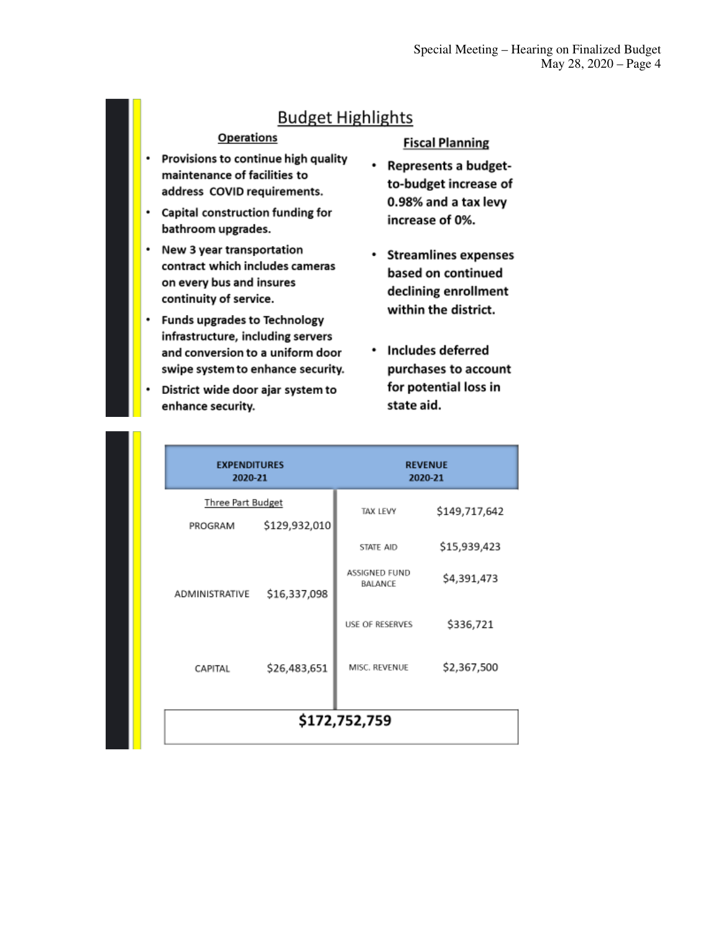### **Budget Highlights**

#### **Operations**

- Provisions to continue high quality  $\bullet$ maintenance of facilities to address COVID requirements.
- Capital construction funding for bathroom upgrades.
- New 3 year transportation contract which includes cameras on every bus and insures continuity of service.
- $\bullet$ **Funds upgrades to Technology** infrastructure, including servers and conversion to a uniform door swipe system to enhance security.
- District wide door ajar system to . enhance security.

#### **Fiscal Planning**

- Represents a budgetto-budget increase of 0.98% and a tax levy increase of 0%.
- Streamlines expenses based on continued declining enrollment within the district.
- Includes deferred purchases to account for potential loss in state aid.

| <b>EXPENDITURES</b><br>2020-21                       |              | <b>REVENUE</b><br>2020-21              |               |  |  |  |
|------------------------------------------------------|--------------|----------------------------------------|---------------|--|--|--|
| <b>Three Part Budget</b><br>\$129,932,010<br>PROGRAM |              | <b>TAX LEVY</b>                        | \$149,717,642 |  |  |  |
|                                                      |              | STATE AID                              | \$15,939,423  |  |  |  |
| ADMINISTRATIVE                                       | \$16,337,098 | <b>ASSIGNED FUND</b><br><b>BALANCE</b> | \$4,391,473   |  |  |  |
|                                                      |              | <b>USE OF RESERVES</b>                 | \$336,721     |  |  |  |
| CAPITAL                                              | \$26,483,651 | MISC. REVENUE                          | \$2,367,500   |  |  |  |
| \$172,752,759                                        |              |                                        |               |  |  |  |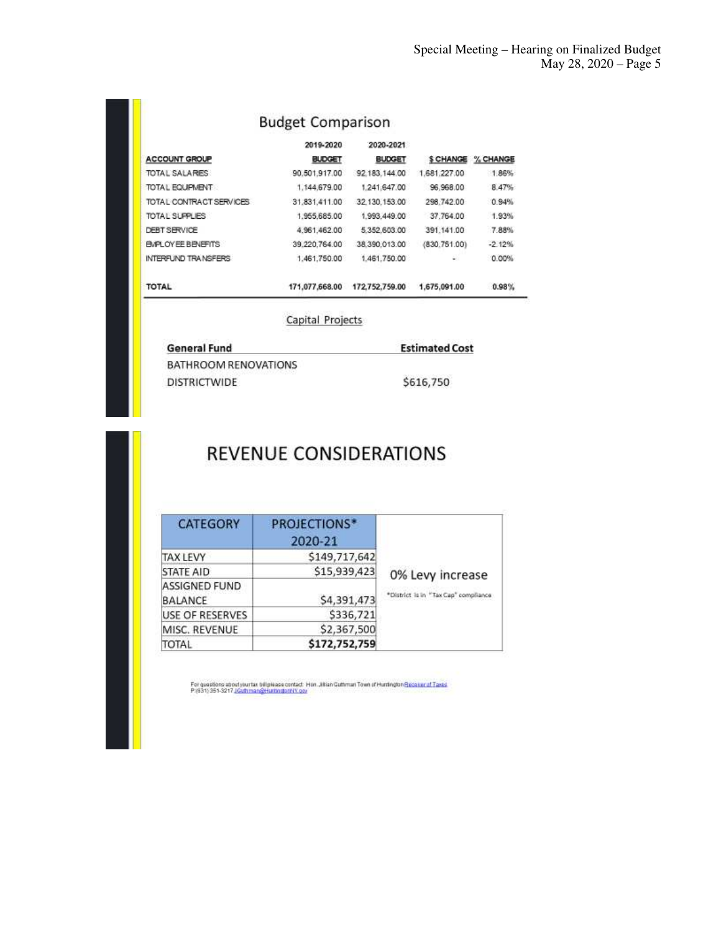## **Budget Comparison**

|                          | 2019-2020      | 2020-2021      |              |                    |
|--------------------------|----------------|----------------|--------------|--------------------|
| <b>ACCOUNT GROUP</b>     | <b>BUDGET</b>  | <b>BUDGET</b>  |              | \$ CHANGE % CHANGE |
| <b>TOTAL SALARES</b>     | 90.501.917.00  | 92.183.144.00  | 1,681,227.00 | 1.86%              |
| TOTA L EQUIPMENT         | 1,144,679.00   | 1,241,647.00   | 96,968.00    | 8.47%              |
| TOTAL CONTRACT SERVICES  | 31.831.411.00  | 32.130.153.00  | 298.742.00   | 0.94%              |
| TOTAL SUPPLIES           | 1,955,685.00   | 1,993,449.00   | 37,764.00    | 1.93%              |
| <b>DEBT SERVICE</b>      | 4.961.462.00   | 5.352.603.00   | 391.141.00   | 7.88%              |
| <b>BVPLOYEE BENEFITS</b> | 39.220.764.00  | 38.390.013.00  | (830.751.00) | $-2.12%$           |
| INTERFUND TRANSFERS      | 1.461.750.00   | 1.461.750.00   | زن           | 0.00%              |
| <b>TOTAL</b>             | 171.077.668.00 | 172,752,759.00 | 1.675.091.00 | 0.98%              |

Capital Projects

| <b>General Fund</b>  | <b>Estimated Cost</b> |
|----------------------|-----------------------|
| BATHROOM RENOVATIONS |                       |
| <b>DISTRICTWIDE</b>  | \$616,750             |

## REVENUE CONSIDERATIONS

| <b>CATEGORY</b>                        | <b>PROJECTIONS*</b><br>2020-21 |                                      |  |  |  |
|----------------------------------------|--------------------------------|--------------------------------------|--|--|--|
| <b>TAX LEVY</b>                        | \$149,717,642                  |                                      |  |  |  |
| <b>STATE AID</b>                       | \$15,939,423                   | 0% Levy increase                     |  |  |  |
| <b>ASSIGNED FUND</b><br><b>BALANCE</b> | \$4,391,473                    | *District is in "Tax Cap" compliance |  |  |  |
| USE OF RESERVES                        | \$336,721                      |                                      |  |  |  |
| MISC, REVENUE                          | \$2,367,500                    |                                      |  |  |  |
| <b>TOTAL</b>                           | \$172,752,759                  |                                      |  |  |  |

For quastions about your tax bilipie ase contact: Hon "Illian Guthman Town of Huntington <u>Resenant of Taxes</u><br>P:(631): 351-3217 <u>(Guthman@HuntingtonNY.cov</u>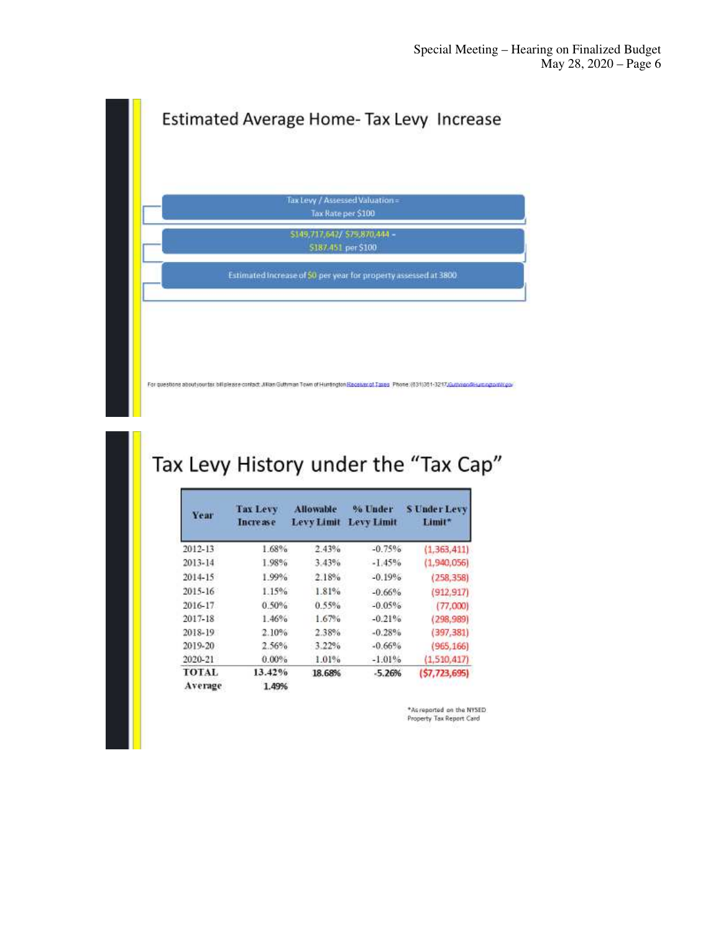

## Tax Levy History under the "Tax Cap"

| Year    | <b>Tax Levy</b><br><b>Increase</b> | <b>Allowable</b><br><b>Levy Limit</b> | % Under<br><b>Levy Limit</b> | <b>S Under Levy</b><br>Limit* |
|---------|------------------------------------|---------------------------------------|------------------------------|-------------------------------|
| 2012-13 | 1.68%                              | 2.43%                                 | $-0.75%$                     | (1, 363, 411)                 |
| 2013-14 | 1.98%                              | 3.43%                                 | $-1.45%$                     | (1.940.056)                   |
| 2014-15 | 1.99%                              | 2.18%                                 | $-0.19%$                     | (258, 358)                    |
| 2015-16 | 1.15%                              | 1.81%                                 | $-0.66%$                     | (912, 917)                    |
| 2016-17 | 0.50%                              | 0.55%                                 | $-0.05%$                     | (77,000)                      |
| 2017-18 | 1.46%                              | 1.67%                                 | $-0.21%$                     | (298, 989)                    |
| 2018-19 | $2.10\%$                           | 2.38%                                 | $-0.28%$                     | (397, 381)                    |
| 2019-20 | 2.56%                              | 3.22%                                 | $-0.66%$                     | (965, 166)                    |
| 2020-21 | $0.00\%$                           | 1.01%                                 | $-1.01%$                     | (1, 510, 417)                 |
| TOTAL   | 13.42%                             | 18.68%                                | $-5.26%$                     | (57, 723, 695)                |
| Average | 1.49%                              |                                       |                              |                               |

\*As reported on the NYSED Property Tax Report Card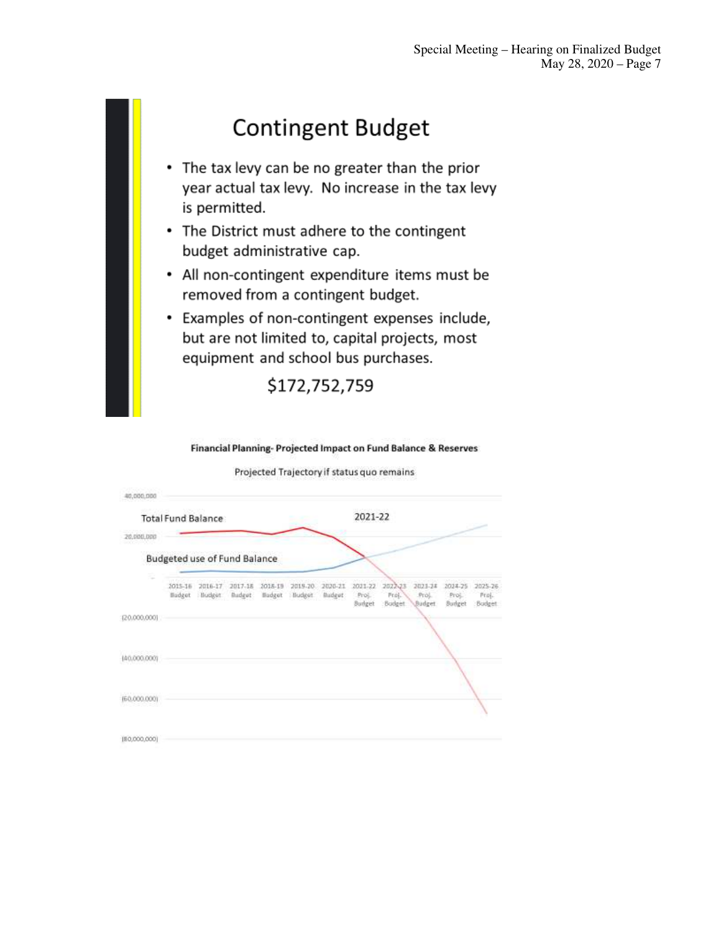# **Contingent Budget**

- The tax levy can be no greater than the prior year actual tax levy. No increase in the tax levy is permitted.
- The District must adhere to the contingent budget administrative cap.
- All non-contingent expenditure items must be removed from a contingent budget.
- Examples of non-contingent expenses include, but are not limited to, capital projects, most equipment and school bus purchases.

\$172,752,759

Financial Planning- Projected Impact on Fund Balance & Reserves

| 40,000,000   |                              |                    |                    |                   |                   |                          |                            |                                                           |                            |                            |
|--------------|------------------------------|--------------------|--------------------|-------------------|-------------------|--------------------------|----------------------------|-----------------------------------------------------------|----------------------------|----------------------------|
|              | Total Fund Balance           |                    |                    |                   |                   |                          | 2021-22                    |                                                           |                            |                            |
| 20,000,000   |                              |                    |                    |                   |                   |                          |                            |                                                           |                            |                            |
|              | Budgeted use of Fund Balance |                    |                    |                   |                   |                          |                            |                                                           |                            |                            |
|              | 2015-16<br>Budget            | 2016-17<br>Budget: | 2017-18<br>Budget: | 2018-19<br>Budget | 2019-20<br>Budget | 2020-21<br><b>Budget</b> | 2021-22<br>Proj.<br>Budget | 2023-24<br>2022-23<br>Fraj.<br>Proj.<br>Budget<br>Budget. | 2024-25<br>Proj.<br>Budget | 2025-26<br>Fraj.<br>Budget |
| (20,000,000) |                              |                    |                    |                   |                   |                          |                            |                                                           |                            |                            |
| (40.000.000) |                              |                    |                    |                   |                   |                          |                            |                                                           |                            |                            |
| (60.000.000) |                              |                    |                    |                   |                   |                          |                            |                                                           |                            |                            |
| (80,000,000) |                              |                    |                    |                   |                   |                          |                            |                                                           |                            |                            |

Projected Trajectory if status quo remains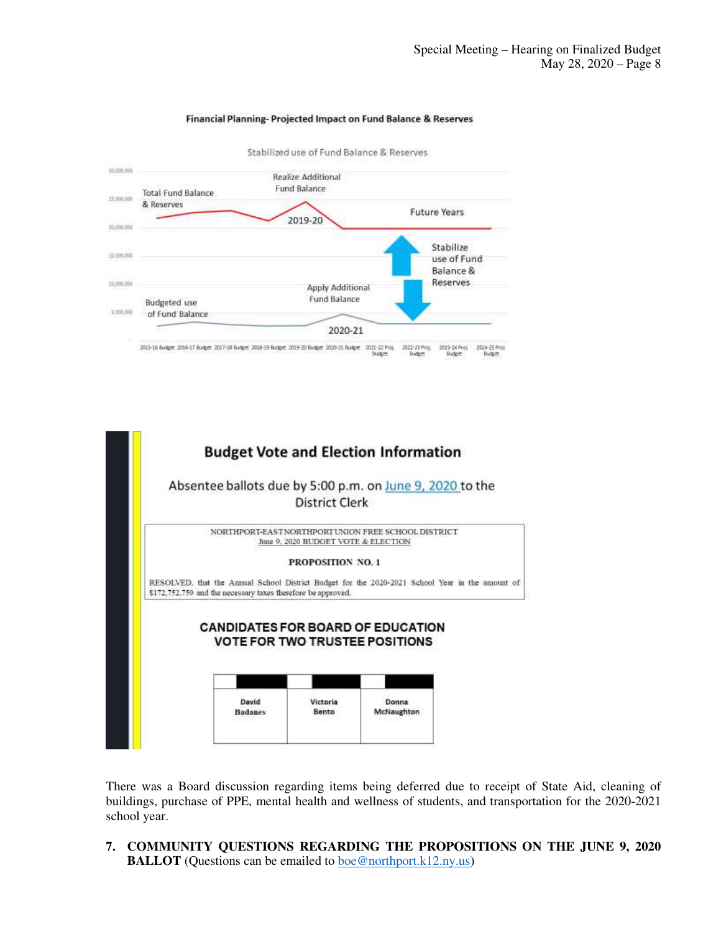

#### Financial Planning-Projected Impact on Fund Balance & Reserves



There was a Board discussion regarding items being deferred due to receipt of State Aid, cleaning of buildings, purchase of PPE, mental health and wellness of students, and transportation for the 2020-2021 school year.

**7. COMMUNITY QUESTIONS REGARDING THE PROPOSITIONS ON THE JUNE 9, 2020 BALLOT** (Questions can be emailed to <u>boe@northport.k12.ny.us</u>)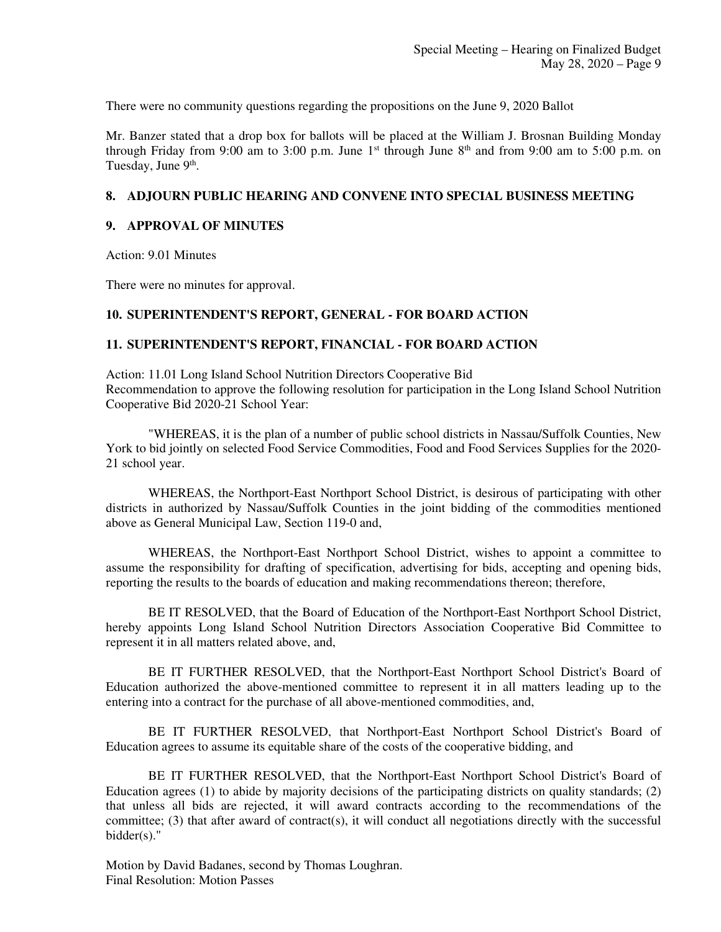There were no community questions regarding the propositions on the June 9, 2020 Ballot

Mr. Banzer stated that a drop box for ballots will be placed at the William J. Brosnan Building Monday through Friday from 9:00 am to 3:00 p.m. June  $1<sup>st</sup>$  through June  $8<sup>th</sup>$  and from 9:00 am to 5:00 p.m. on Tuesday, June 9<sup>th</sup>.

#### **8. ADJOURN PUBLIC HEARING AND CONVENE INTO SPECIAL BUSINESS MEETING**

#### **9. APPROVAL OF MINUTES**

Action: 9.01 Minutes

There were no minutes for approval.

#### **10. SUPERINTENDENT'S REPORT, GENERAL - FOR BOARD ACTION**

#### **11. SUPERINTENDENT'S REPORT, FINANCIAL - FOR BOARD ACTION**

Action: 11.01 Long Island School Nutrition Directors Cooperative Bid Recommendation to approve the following resolution for participation in the Long Island School Nutrition Cooperative Bid 2020-21 School Year:

"WHEREAS, it is the plan of a number of public school districts in Nassau/Suffolk Counties, New York to bid jointly on selected Food Service Commodities, Food and Food Services Supplies for the 2020- 21 school year.

WHEREAS, the Northport-East Northport School District, is desirous of participating with other districts in authorized by Nassau/Suffolk Counties in the joint bidding of the commodities mentioned above as General Municipal Law, Section 119-0 and,

WHEREAS, the Northport-East Northport School District, wishes to appoint a committee to assume the responsibility for drafting of specification, advertising for bids, accepting and opening bids, reporting the results to the boards of education and making recommendations thereon; therefore,

BE IT RESOLVED, that the Board of Education of the Northport-East Northport School District, hereby appoints Long Island School Nutrition Directors Association Cooperative Bid Committee to represent it in all matters related above, and,

BE IT FURTHER RESOLVED, that the Northport-East Northport School District's Board of Education authorized the above-mentioned committee to represent it in all matters leading up to the entering into a contract for the purchase of all above-mentioned commodities, and,

BE IT FURTHER RESOLVED, that Northport-East Northport School District's Board of Education agrees to assume its equitable share of the costs of the cooperative bidding, and

BE IT FURTHER RESOLVED, that the Northport-East Northport School District's Board of Education agrees (1) to abide by majority decisions of the participating districts on quality standards; (2) that unless all bids are rejected, it will award contracts according to the recommendations of the committee; (3) that after award of contract(s), it will conduct all negotiations directly with the successful bidder(s)."

Motion by David Badanes, second by Thomas Loughran. Final Resolution: Motion Passes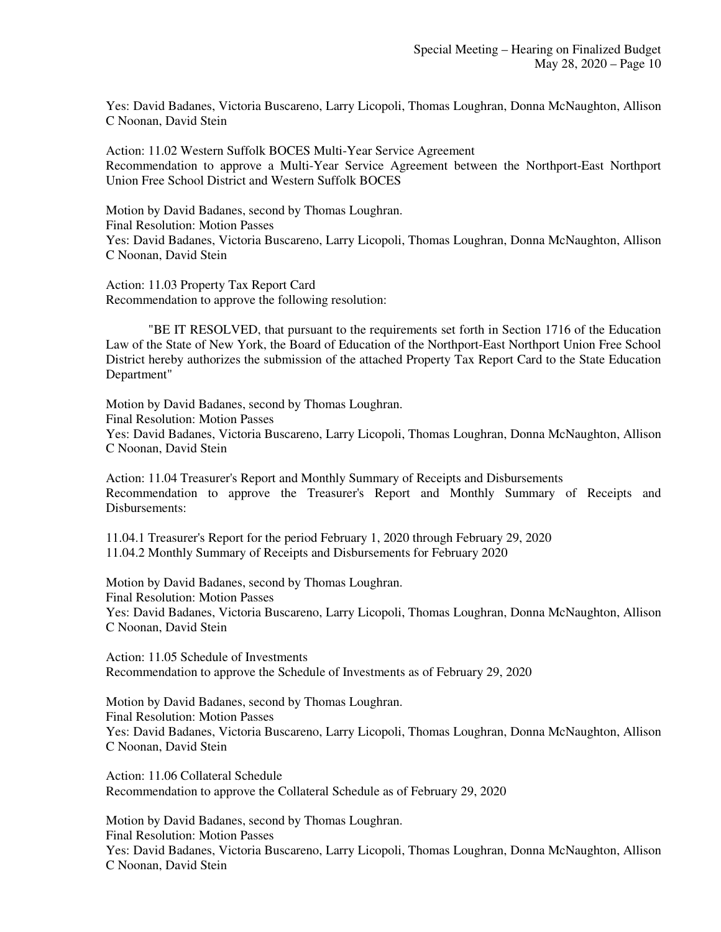Yes: David Badanes, Victoria Buscareno, Larry Licopoli, Thomas Loughran, Donna McNaughton, Allison C Noonan, David Stein

Action: 11.02 Western Suffolk BOCES Multi-Year Service Agreement Recommendation to approve a Multi-Year Service Agreement between the Northport-East Northport Union Free School District and Western Suffolk BOCES

Motion by David Badanes, second by Thomas Loughran. Final Resolution: Motion Passes Yes: David Badanes, Victoria Buscareno, Larry Licopoli, Thomas Loughran, Donna McNaughton, Allison C Noonan, David Stein

Action: 11.03 Property Tax Report Card Recommendation to approve the following resolution:

"BE IT RESOLVED, that pursuant to the requirements set forth in Section 1716 of the Education Law of the State of New York, the Board of Education of the Northport-East Northport Union Free School District hereby authorizes the submission of the attached Property Tax Report Card to the State Education Department"

Motion by David Badanes, second by Thomas Loughran. Final Resolution: Motion Passes Yes: David Badanes, Victoria Buscareno, Larry Licopoli, Thomas Loughran, Donna McNaughton, Allison C Noonan, David Stein

Action: 11.04 Treasurer's Report and Monthly Summary of Receipts and Disbursements Recommendation to approve the Treasurer's Report and Monthly Summary of Receipts and Disbursements:

11.04.1 Treasurer's Report for the period February 1, 2020 through February 29, 2020 11.04.2 Monthly Summary of Receipts and Disbursements for February 2020

Motion by David Badanes, second by Thomas Loughran. Final Resolution: Motion Passes Yes: David Badanes, Victoria Buscareno, Larry Licopoli, Thomas Loughran, Donna McNaughton, Allison C Noonan, David Stein

Action: 11.05 Schedule of Investments Recommendation to approve the Schedule of Investments as of February 29, 2020

Motion by David Badanes, second by Thomas Loughran. Final Resolution: Motion Passes Yes: David Badanes, Victoria Buscareno, Larry Licopoli, Thomas Loughran, Donna McNaughton, Allison C Noonan, David Stein

Action: 11.06 Collateral Schedule Recommendation to approve the Collateral Schedule as of February 29, 2020

Motion by David Badanes, second by Thomas Loughran. Final Resolution: Motion Passes Yes: David Badanes, Victoria Buscareno, Larry Licopoli, Thomas Loughran, Donna McNaughton, Allison C Noonan, David Stein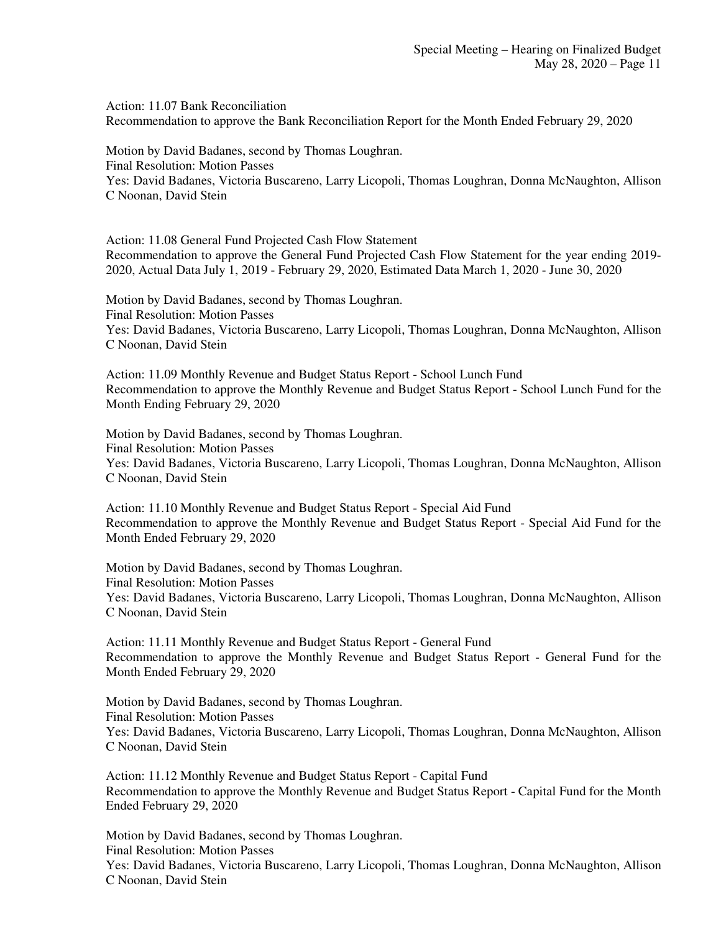Action: 11.07 Bank Reconciliation Recommendation to approve the Bank Reconciliation Report for the Month Ended February 29, 2020

Motion by David Badanes, second by Thomas Loughran. Final Resolution: Motion Passes Yes: David Badanes, Victoria Buscareno, Larry Licopoli, Thomas Loughran, Donna McNaughton, Allison C Noonan, David Stein

Action: 11.08 General Fund Projected Cash Flow Statement Recommendation to approve the General Fund Projected Cash Flow Statement for the year ending 2019- 2020, Actual Data July 1, 2019 - February 29, 2020, Estimated Data March 1, 2020 - June 30, 2020

Motion by David Badanes, second by Thomas Loughran. Final Resolution: Motion Passes Yes: David Badanes, Victoria Buscareno, Larry Licopoli, Thomas Loughran, Donna McNaughton, Allison C Noonan, David Stein

Action: 11.09 Monthly Revenue and Budget Status Report - School Lunch Fund Recommendation to approve the Monthly Revenue and Budget Status Report - School Lunch Fund for the Month Ending February 29, 2020

Motion by David Badanes, second by Thomas Loughran. Final Resolution: Motion Passes Yes: David Badanes, Victoria Buscareno, Larry Licopoli, Thomas Loughran, Donna McNaughton, Allison C Noonan, David Stein

Action: 11.10 Monthly Revenue and Budget Status Report - Special Aid Fund Recommendation to approve the Monthly Revenue and Budget Status Report - Special Aid Fund for the Month Ended February 29, 2020

Motion by David Badanes, second by Thomas Loughran. Final Resolution: Motion Passes Yes: David Badanes, Victoria Buscareno, Larry Licopoli, Thomas Loughran, Donna McNaughton, Allison C Noonan, David Stein

Action: 11.11 Monthly Revenue and Budget Status Report - General Fund Recommendation to approve the Monthly Revenue and Budget Status Report - General Fund for the Month Ended February 29, 2020

Motion by David Badanes, second by Thomas Loughran. Final Resolution: Motion Passes Yes: David Badanes, Victoria Buscareno, Larry Licopoli, Thomas Loughran, Donna McNaughton, Allison C Noonan, David Stein

Action: 11.12 Monthly Revenue and Budget Status Report - Capital Fund Recommendation to approve the Monthly Revenue and Budget Status Report - Capital Fund for the Month Ended February 29, 2020

Motion by David Badanes, second by Thomas Loughran. Final Resolution: Motion Passes Yes: David Badanes, Victoria Buscareno, Larry Licopoli, Thomas Loughran, Donna McNaughton, Allison C Noonan, David Stein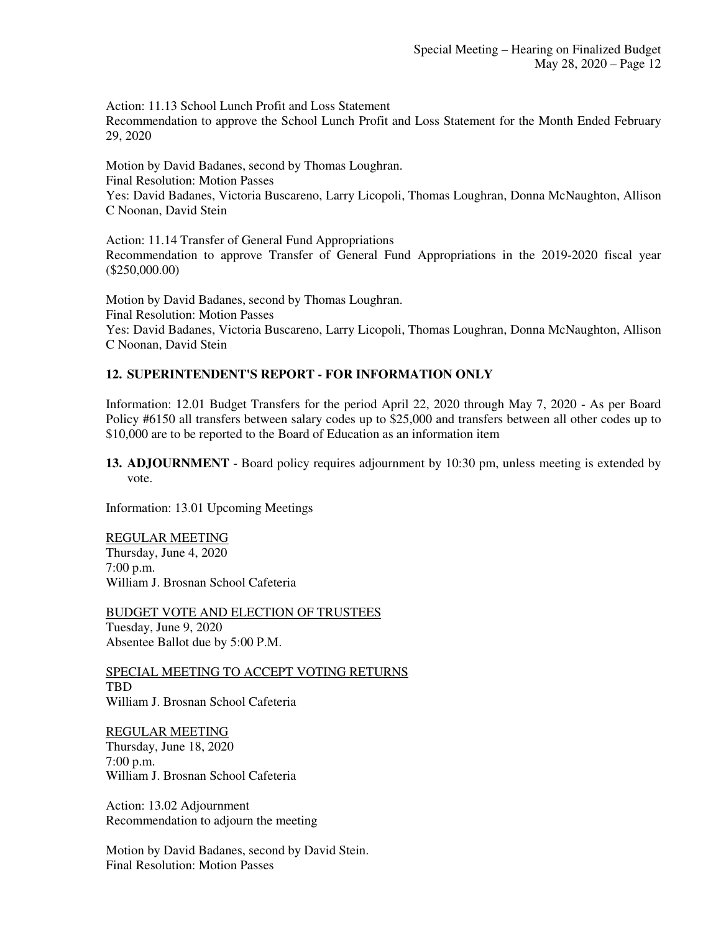Action: 11.13 School Lunch Profit and Loss Statement Recommendation to approve the School Lunch Profit and Loss Statement for the Month Ended February 29, 2020

Motion by David Badanes, second by Thomas Loughran. Final Resolution: Motion Passes Yes: David Badanes, Victoria Buscareno, Larry Licopoli, Thomas Loughran, Donna McNaughton, Allison C Noonan, David Stein

Action: 11.14 Transfer of General Fund Appropriations Recommendation to approve Transfer of General Fund Appropriations in the 2019-2020 fiscal year (\$250,000.00)

Motion by David Badanes, second by Thomas Loughran. Final Resolution: Motion Passes Yes: David Badanes, Victoria Buscareno, Larry Licopoli, Thomas Loughran, Donna McNaughton, Allison C Noonan, David Stein

#### **12. SUPERINTENDENT'S REPORT - FOR INFORMATION ONLY**

Information: 12.01 Budget Transfers for the period April 22, 2020 through May 7, 2020 - As per Board Policy #6150 all transfers between salary codes up to \$25,000 and transfers between all other codes up to \$10,000 are to be reported to the Board of Education as an information item

**13. ADJOURNMENT** - Board policy requires adjournment by 10:30 pm, unless meeting is extended by vote.

Information: 13.01 Upcoming Meetings

REGULAR MEETING Thursday, June 4, 2020 7:00 p.m. William J. Brosnan School Cafeteria

BUDGET VOTE AND ELECTION OF TRUSTEES Tuesday, June 9, 2020 Absentee Ballot due by 5:00 P.M.

SPECIAL MEETING TO ACCEPT VOTING RETURNS TBD William J. Brosnan School Cafeteria

REGULAR MEETING Thursday, June 18, 2020 7:00 p.m. William J. Brosnan School Cafeteria

Action: 13.02 Adjournment Recommendation to adjourn the meeting

Motion by David Badanes, second by David Stein. Final Resolution: Motion Passes